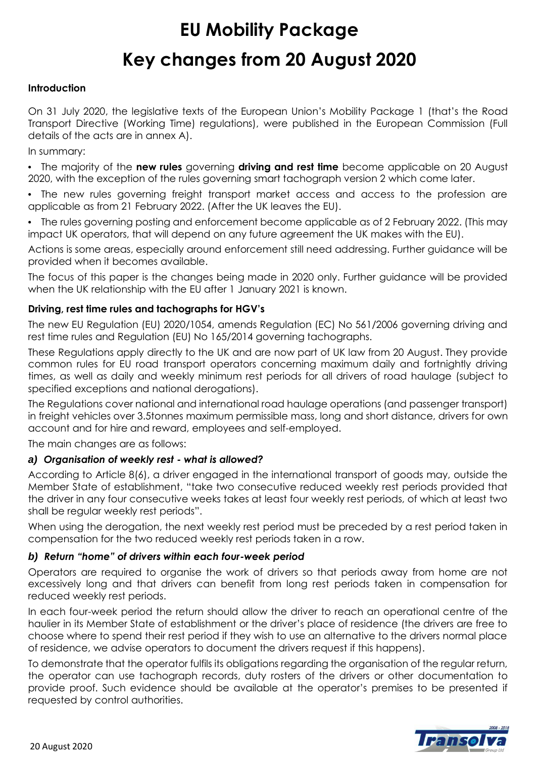# **EU Mobility Package Key changes from 20 August 2020**

#### **Introduction**

On 31 July 2020, the legislative texts of the European Union's Mobility Package 1 (that's the Road Transport Directive (Working Time) regulations), were published in the European Commission (Full details of the acts are in annex A).

In summary:

**•** The majority of the **new rules** governing **driving and rest time** become applicable on 20 August 2020, with the exception of the rules governing smart tachograph version 2 which come later.

**•** The new rules governing freight transport market access and access to the profession are applicable as from 21 February 2022. (After the UK leaves the EU).

**•** The rules governing posting and enforcement become applicable as of 2 February 2022. (This may impact UK operators, that will depend on any future agreement the UK makes with the EU).

Actions is some areas, especially around enforcement still need addressing. Further guidance will be provided when it becomes available.

The focus of this paper is the changes being made in 2020 only. Further guidance will be provided when the UK relationship with the EU after 1 January 2021 is known.

#### **Driving, rest time rules and tachographs for HGV's**

The new EU Regulation (EU) 2020/1054, amends Regulation (EC) No 561/2006 governing driving and rest time rules and Regulation (EU) No 165/2014 governing tachographs.

These Regulations apply directly to the UK and are now part of UK law from 20 August. They provide common rules for EU road transport operators concerning maximum daily and fortnightly driving times, as well as daily and weekly minimum rest periods for all drivers of road haulage (subject to specified exceptions and national derogations).

The Regulations cover national and international road haulage operations (and passenger transport) in freight vehicles over 3.5tonnes maximum permissible mass, long and short distance, drivers for own account and for hire and reward, employees and self-employed.

The main changes are as follows:

#### *a) Organisation of weekly rest - what is allowed?*

According to Article 8(6), a driver engaged in the international transport of goods may, outside the Member State of establishment, "take two consecutive reduced weekly rest periods provided that the driver in any four consecutive weeks takes at least four weekly rest periods, of which at least two shall be regular weekly rest periods".

When using the derogation, the next weekly rest period must be preceded by a rest period taken in compensation for the two reduced weekly rest periods taken in a row.

#### *b) Return "home" of drivers within each four-week period*

Operators are required to organise the work of drivers so that periods away from home are not excessively long and that drivers can benefit from long rest periods taken in compensation for reduced weekly rest periods.

In each four-week period the return should allow the driver to reach an operational centre of the haulier in its Member State of establishment or the driver's place of residence (the drivers are free to choose where to spend their rest period if they wish to use an alternative to the drivers normal place of residence, we advise operators to document the drivers request if this happens).

To demonstrate that the operator fulfils its obligations regarding the organisation of the regular return, the operator can use tachograph records, duty rosters of the drivers or other documentation to provide proof. Such evidence should be available at the operator's premises to be presented if requested by control authorities.